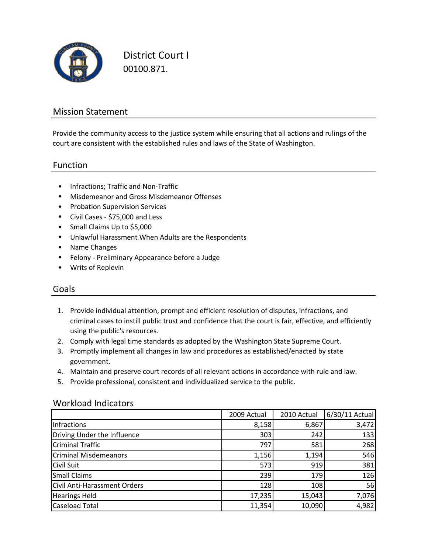

District Court I 00100.871.

### Mission Statement

Provide the community access to the justice system while ensuring that all actions and rulings of the court are consistent with the established rules and laws of the State of Washington.

#### Function

- Infractions; Traffic and Non‐Traffic
- Misdemeanor and Gross Misdemeanor Offenses
- Probation Supervision Services
- Civil Cases ‐ \$75,000 and Less
- Small Claims Up to \$5,000
- Unlawful Harassment When Adults are the Respondents
- Name Changes
- Felony ‐ Preliminary Appearance before a Judge
- Writs of Replevin

#### Goals

- 1. Provide individual attention, prompt and efficient resolution of disputes, infractions, and criminal cases to instill public trust and confidence that the court is fair, effective, and efficiently using the public's resources.
- 2. Comply with legal time standards as adopted by the Washington State Supreme Court.
- 3. Promptly implement all changes in law and procedures as established/enacted by state government.
- 4. Maintain and preserve court records of all relevant actions in accordance with rule and law.
- 5. Provide professional, consistent and individualized service to the public.

#### Workload Indicators

|                                     | 2009 Actual | 2010 Actual | 6/30/11 Actual |
|-------------------------------------|-------------|-------------|----------------|
| Infractions                         | 8,158       | 6,867       | 3,472          |
| Driving Under the Influence         | 303         | 242         | 133            |
| <b>Criminal Traffic</b>             | 797         | 581         | 268            |
| <b>Criminal Misdemeanors</b>        | 1,156       | 1,194       | 546            |
| <b>Civil Suit</b>                   | 573         | 919         | 381            |
| <b>Small Claims</b>                 | 239         | 179         | 126            |
| <b>Civil Anti-Harassment Orders</b> | 128         | 108         | 56             |
| <b>Hearings Held</b>                | 17,235      | 15,043      | 7,076          |
| <b>Caseload Total</b>               | 11,354      | 10,090      | 4,982          |